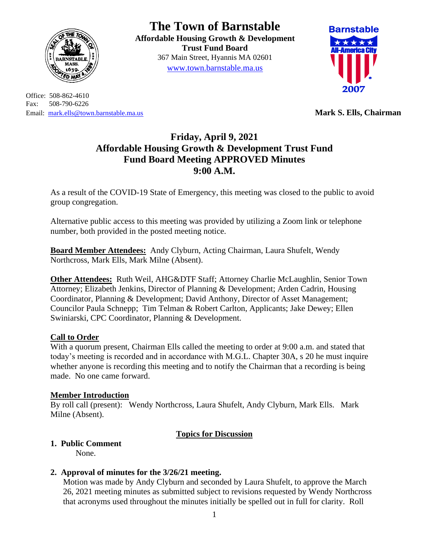

Office: 508-862-4610 Fax: 508-790-6226 Email: [mark.ells@town.barnstable.ma.us](mailto:mark.ells@town.barnstable.ma.us) **Mark S. Ells, Chairman**

# **The Town of Barnstable**

**Affordable Housing Growth & Development Trust Fund Board**  367 Main Street, Hyannis MA 02601 [www.town.barnstable.ma.us](http://www.town.barnstable.ma.us/)



# **Friday, April 9, 2021 Affordable Housing Growth & Development Trust Fund Fund Board Meeting APPROVED Minutes 9:00 A.M.**

As a result of the COVID-19 State of Emergency, this meeting was closed to the public to avoid group congregation.

Alternative public access to this meeting was provided by utilizing a Zoom link or telephone number, both provided in the posted meeting notice.

**Board Member Attendees:** Andy Clyburn, Acting Chairman, Laura Shufelt, Wendy Northcross, Mark Ells, Mark Milne (Absent).

**Other Attendees:** Ruth Weil, AHG&DTF Staff; Attorney Charlie McLaughlin, Senior Town Attorney; Elizabeth Jenkins, Director of Planning & Development; Arden Cadrin, Housing Coordinator, Planning & Development; David Anthony, Director of Asset Management; Councilor Paula Schnepp; Tim Telman & Robert Carlton, Applicants; Jake Dewey; Ellen Swiniarski, CPC Coordinator, Planning & Development.

# **Call to Order**

With a quorum present, Chairman Ells called the meeting to order at 9:00 a.m. and stated that today's meeting is recorded and in accordance with M.G.L. Chapter 30A, s 20 he must inquire whether anyone is recording this meeting and to notify the Chairman that a recording is being made. No one came forward.

# **Member Introduction**

By roll call (present): Wendy Northcross, Laura Shufelt, Andy Clyburn, Mark Ells. Mark Milne (Absent).

# **Topics for Discussion**

# **1. Public Comment**

None.

# **2. Approval of minutes for the 3/26/21 meeting.**

Motion was made by Andy Clyburn and seconded by Laura Shufelt, to approve the March 26, 2021 meeting minutes as submitted subject to revisions requested by Wendy Northcross that acronyms used throughout the minutes initially be spelled out in full for clarity. Roll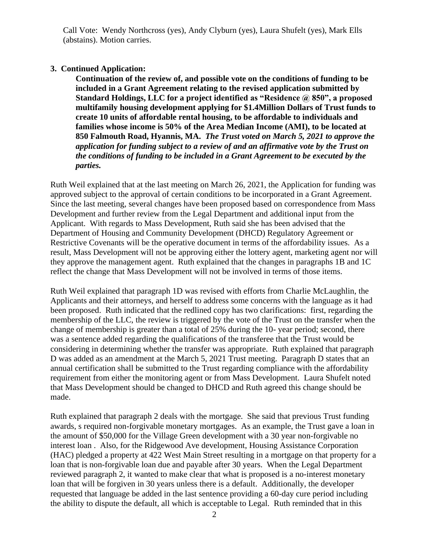Call Vote: Wendy Northcross (yes), Andy Clyburn (yes), Laura Shufelt (yes), Mark Ells (abstains). Motion carries.

#### **3. Continued Application:**

**Continuation of the review of, and possible vote on the conditions of funding to be included in a Grant Agreement relating to the revised application submitted by Standard Holdings, LLC for a project identified as "Residence @ 850", a proposed multifamily housing development applying for \$1.4Million Dollars of Trust funds to create 10 units of affordable rental housing, to be affordable to individuals and families whose income is 50% of the Area Median Income (AMI), to be located at 850 Falmouth Road, Hyannis, MA.** *The Trust voted on March 5, 2021 to approve the application for funding subject to a review of and an affirmative vote by the Trust on the conditions of funding to be included in a Grant Agreement to be executed by the parties.*

Ruth Weil explained that at the last meeting on March 26, 2021, the Application for funding was approved subject to the approval of certain conditions to be incorporated in a Grant Agreement. Since the last meeting, several changes have been proposed based on correspondence from Mass Development and further review from the Legal Department and additional input from the Applicant. With regards to Mass Development, Ruth said she has been advised that the Department of Housing and Community Development (DHCD) Regulatory Agreement or Restrictive Covenants will be the operative document in terms of the affordability issues. As a result, Mass Development will not be approving either the lottery agent, marketing agent nor will they approve the management agent. Ruth explained that the changes in paragraphs 1B and 1C reflect the change that Mass Development will not be involved in terms of those items.

Ruth Weil explained that paragraph 1D was revised with efforts from Charlie McLaughlin, the Applicants and their attorneys, and herself to address some concerns with the language as it had been proposed. Ruth indicated that the redlined copy has two clarifications: first, regarding the membership of the LLC, the review is triggered by the vote of the Trust on the transfer when the change of membership is greater than a total of 25% during the 10- year period; second, there was a sentence added regarding the qualifications of the transferee that the Trust would be considering in determining whether the transfer was appropriate. Ruth explained that paragraph D was added as an amendment at the March 5, 2021 Trust meeting. Paragraph D states that an annual certification shall be submitted to the Trust regarding compliance with the affordability requirement from either the monitoring agent or from Mass Development. Laura Shufelt noted that Mass Development should be changed to DHCD and Ruth agreed this change should be made.

Ruth explained that paragraph 2 deals with the mortgage. She said that previous Trust funding awards, s required non-forgivable monetary mortgages. As an example, the Trust gave a loan in the amount of \$50,000 for the Village Green development with a 30 year non-forgivable no interest loan . Also, for the Ridgewood Ave development, Housing Assistance Corporation (HAC) pledged a property at 422 West Main Street resulting in a mortgage on that property for a loan that is non-forgivable loan due and payable after 30 years. When the Legal Department reviewed paragraph 2, it wanted to make clear that what is proposed is a no-interest monetary loan that will be forgiven in 30 years unless there is a default. Additionally, the developer requested that language be added in the last sentence providing a 60-day cure period including the ability to dispute the default, all which is acceptable to Legal. Ruth reminded that in this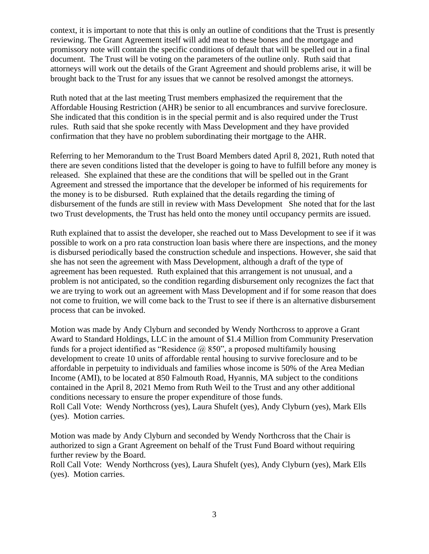context, it is important to note that this is only an outline of conditions that the Trust is presently reviewing. The Grant Agreement itself will add meat to these bones and the mortgage and promissory note will contain the specific conditions of default that will be spelled out in a final document. The Trust will be voting on the parameters of the outline only. Ruth said that attorneys will work out the details of the Grant Agreement and should problems arise, it will be brought back to the Trust for any issues that we cannot be resolved amongst the attorneys.

Ruth noted that at the last meeting Trust members emphasized the requirement that the Affordable Housing Restriction (AHR) be senior to all encumbrances and survive foreclosure. She indicated that this condition is in the special permit and is also required under the Trust rules. Ruth said that she spoke recently with Mass Development and they have provided confirmation that they have no problem subordinating their mortgage to the AHR.

Referring to her Memorandum to the Trust Board Members dated April 8, 2021, Ruth noted that there are seven conditions listed that the developer is going to have to fulfill before any money is released. She explained that these are the conditions that will be spelled out in the Grant Agreement and stressed the importance that the developer be informed of his requirements for the money is to be disbursed. Ruth explained that the details regarding the timing of disbursement of the funds are still in review with Mass Development She noted that for the last two Trust developments, the Trust has held onto the money until occupancy permits are issued.

Ruth explained that to assist the developer, she reached out to Mass Development to see if it was possible to work on a pro rata construction loan basis where there are inspections, and the money is disbursed periodically based the construction schedule and inspections. However, she said that she has not seen the agreement with Mass Development, although a draft of the type of agreement has been requested. Ruth explained that this arrangement is not unusual, and a problem is not anticipated, so the condition regarding disbursement only recognizes the fact that we are trying to work out an agreement with Mass Development and if for some reason that does not come to fruition, we will come back to the Trust to see if there is an alternative disbursement process that can be invoked.

Motion was made by Andy Clyburn and seconded by Wendy Northcross to approve a Grant Award to Standard Holdings, LLC in the amount of \$1.4 Million from Community Preservation funds for a project identified as "Residence  $\omega$  850", a proposed multifamily housing development to create 10 units of affordable rental housing to survive foreclosure and to be affordable in perpetuity to individuals and families whose income is 50% of the Area Median Income (AMI), to be located at 850 Falmouth Road, Hyannis, MA subject to the conditions contained in the April 8, 2021 Memo from Ruth Weil to the Trust and any other additional conditions necessary to ensure the proper expenditure of those funds. Roll Call Vote: Wendy Northcross (yes), Laura Shufelt (yes), Andy Clyburn (yes), Mark Ells (yes). Motion carries.

Motion was made by Andy Clyburn and seconded by Wendy Northcross that the Chair is authorized to sign a Grant Agreement on behalf of the Trust Fund Board without requiring further review by the Board.

Roll Call Vote: Wendy Northcross (yes), Laura Shufelt (yes), Andy Clyburn (yes), Mark Ells (yes). Motion carries.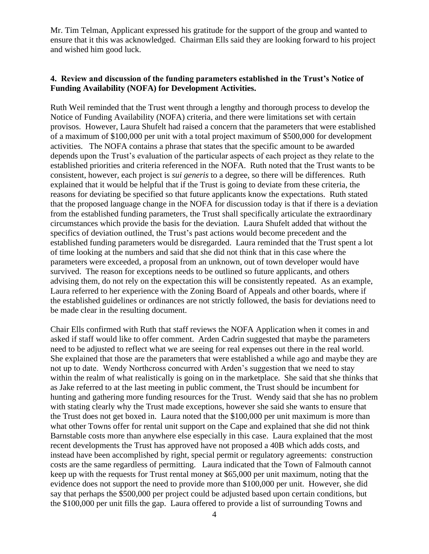Mr. Tim Telman, Applicant expressed his gratitude for the support of the group and wanted to ensure that it this was acknowledged. Chairman Ells said they are looking forward to his project and wished him good luck.

## **4. Review and discussion of the funding parameters established in the Trust's Notice of Funding Availability (NOFA) for Development Activities.**

Ruth Weil reminded that the Trust went through a lengthy and thorough process to develop the Notice of Funding Availability (NOFA) criteria, and there were limitations set with certain provisos. However, Laura Shufelt had raised a concern that the parameters that were established of a maximum of \$100,000 per unit with a total project maximum of \$500,000 for development activities. The NOFA contains a phrase that states that the specific amount to be awarded depends upon the Trust's evaluation of the particular aspects of each project as they relate to the established priorities and criteria referenced in the NOFA. Ruth noted that the Trust wants to be consistent, however, each project is *sui generis* to a degree, so there will be differences. Ruth explained that it would be helpful that if the Trust is going to deviate from these criteria, the reasons for deviating be specified so that future applicants know the expectations. Ruth stated that the proposed language change in the NOFA for discussion today is that if there is a deviation from the established funding parameters, the Trust shall specifically articulate the extraordinary circumstances which provide the basis for the deviation. Laura Shufelt added that without the specifics of deviation outlined, the Trust's past actions would become precedent and the established funding parameters would be disregarded. Laura reminded that the Trust spent a lot of time looking at the numbers and said that she did not think that in this case where the parameters were exceeded, a proposal from an unknown, out of town developer would have survived. The reason for exceptions needs to be outlined so future applicants, and others advising them, do not rely on the expectation this will be consistently repeated. As an example, Laura referred to her experience with the Zoning Board of Appeals and other boards, where if the established guidelines or ordinances are not strictly followed, the basis for deviations need to be made clear in the resulting document.

Chair Ells confirmed with Ruth that staff reviews the NOFA Application when it comes in and asked if staff would like to offer comment. Arden Cadrin suggested that maybe the parameters need to be adjusted to reflect what we are seeing for real expenses out there in the real world. She explained that those are the parameters that were established a while ago and maybe they are not up to date. Wendy Northcross concurred with Arden's suggestion that we need to stay within the realm of what realistically is going on in the marketplace. She said that she thinks that as Jake referred to at the last meeting in public comment, the Trust should be incumbent for hunting and gathering more funding resources for the Trust. Wendy said that she has no problem with stating clearly why the Trust made exceptions, however she said she wants to ensure that the Trust does not get boxed in. Laura noted that the \$100,000 per unit maximum is more than what other Towns offer for rental unit support on the Cape and explained that she did not think Barnstable costs more than anywhere else especially in this case. Laura explained that the most recent developments the Trust has approved have not proposed a 40B which adds costs, and instead have been accomplished by right, special permit or regulatory agreements: construction costs are the same regardless of permitting. Laura indicated that the Town of Falmouth cannot keep up with the requests for Trust rental money at \$65,000 per unit maximum, noting that the evidence does not support the need to provide more than \$100,000 per unit. However, she did say that perhaps the \$500,000 per project could be adjusted based upon certain conditions, but the \$100,000 per unit fills the gap. Laura offered to provide a list of surrounding Towns and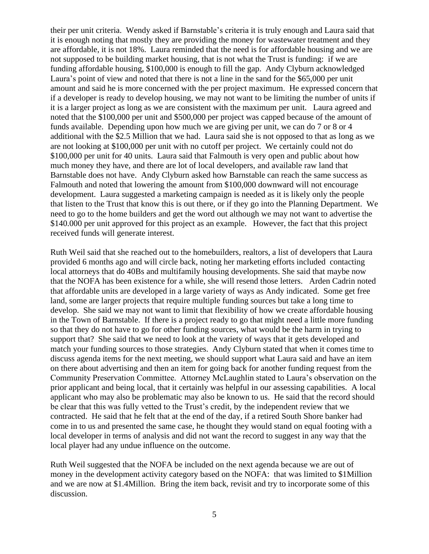their per unit criteria. Wendy asked if Barnstable's criteria it is truly enough and Laura said that it is enough noting that mostly they are providing the money for wastewater treatment and they are affordable, it is not 18%. Laura reminded that the need is for affordable housing and we are not supposed to be building market housing, that is not what the Trust is funding: if we are funding affordable housing, \$100,000 is enough to fill the gap. Andy Clyburn acknowledged Laura's point of view and noted that there is not a line in the sand for the \$65,000 per unit amount and said he is more concerned with the per project maximum. He expressed concern that if a developer is ready to develop housing, we may not want to be limiting the number of units if it is a larger project as long as we are consistent with the maximum per unit. Laura agreed and noted that the \$100,000 per unit and \$500,000 per project was capped because of the amount of funds available. Depending upon how much we are giving per unit, we can do 7 or 8 or 4 additional with the \$2.5 Million that we had. Laura said she is not opposed to that as long as we are not looking at \$100,000 per unit with no cutoff per project. We certainly could not do \$100,000 per unit for 40 units. Laura said that Falmouth is very open and public about how much money they have, and there are lot of local developers, and available raw land that Barnstable does not have. Andy Clyburn asked how Barnstable can reach the same success as Falmouth and noted that lowering the amount from \$100,000 downward will not encourage development. Laura suggested a marketing campaign is needed as it is likely only the people that listen to the Trust that know this is out there, or if they go into the Planning Department. We need to go to the home builders and get the word out although we may not want to advertise the \$140.000 per unit approved for this project as an example. However, the fact that this project received funds will generate interest.

Ruth Weil said that she reached out to the homebuilders, realtors, a list of developers that Laura provided 6 months ago and will circle back, noting her marketing efforts included contacting local attorneys that do 40Bs and multifamily housing developments. She said that maybe now that the NOFA has been existence for a while, she will resend those letters. Arden Cadrin noted that affordable units are developed in a large variety of ways as Andy indicated. Some get free land, some are larger projects that require multiple funding sources but take a long time to develop. She said we may not want to limit that flexibility of how we create affordable housing in the Town of Barnstable. If there is a project ready to go that might need a little more funding so that they do not have to go for other funding sources, what would be the harm in trying to support that? She said that we need to look at the variety of ways that it gets developed and match your funding sources to those strategies. Andy Clyburn stated that when it comes time to discuss agenda items for the next meeting, we should support what Laura said and have an item on there about advertising and then an item for going back for another funding request from the Community Preservation Committee. Attorney McLaughlin stated to Laura's observation on the prior applicant and being local, that it certainly was helpful in our assessing capabilities. A local applicant who may also be problematic may also be known to us. He said that the record should be clear that this was fully vetted to the Trust's credit, by the independent review that we contracted. He said that he felt that at the end of the day, if a retired South Shore banker had come in to us and presented the same case, he thought they would stand on equal footing with a local developer in terms of analysis and did not want the record to suggest in any way that the local player had any undue influence on the outcome.

Ruth Weil suggested that the NOFA be included on the next agenda because we are out of money in the development activity category based on the NOFA: that was limited to \$1Million and we are now at \$1.4Million. Bring the item back, revisit and try to incorporate some of this discussion.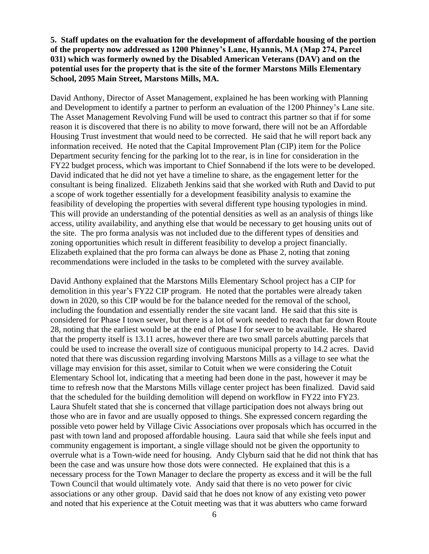## **5. Staff updates on the evaluation for the development of affordable housing of the portion of the property now addressed as 1200 Phinney's Lane, Hyannis, MA (Map 274, Parcel 031) which was formerly owned by the Disabled American Veterans (DAV) and on the potential uses for the property that is the site of the former Marstons Mills Elementary School, 2095 Main Street, Marstons Mills, MA.**

David Anthony, Director of Asset Management, explained he has been working with Planning and Development to identify a partner to perform an evaluation of the 1200 Phinney's Lane site. The Asset Management Revolving Fund will be used to contract this partner so that if for some reason it is discovered that there is no ability to move forward, there will not be an Affordable Housing Trust investment that would need to be corrected. He said that he will report back any information received. He noted that the Capital Improvement Plan (CIP) item for the Police Department security fencing for the parking lot to the rear, is in line for consideration in the FY22 budget process, which was important to Chief Sonnabend if the lots were to be developed. David indicated that he did not yet have a timeline to share, as the engagement letter for the consultant is being finalized. Elizabeth Jenkins said that she worked with Ruth and David to put a scope of work together essentially for a development feasibility analysis to examine the feasibility of developing the properties with several different type housing typologies in mind. This will provide an understanding of the potential densities as well as an analysis of things like access, utility availability, and anything else that would be necessary to get housing units out of the site. The pro forma analysis was not included due to the different types of densities and zoning opportunities which result in different feasibility to develop a project financially. Elizabeth explained that the pro forma can always be done as Phase 2, noting that zoning recommendations were included in the tasks to be completed with the survey available.

David Anthony explained that the Marstons Mills Elementary School project has a CIP for demolition in this year's FY22 CIP program. He noted that the portables were already taken down in 2020, so this CIP would be for the balance needed for the removal of the school, including the foundation and essentially render the site vacant land. He said that this site is considered for Phase I town sewer, but there is a lot of work needed to reach that far down Route 28, noting that the earliest would be at the end of Phase I for sewer to be available. He shared that the property itself is 13.11 acres, however there are two small parcels abutting parcels that could be used to increase the overall size of contiguous municipal property to 14.2 acres. David noted that there was discussion regarding involving Marstons Mills as a village to see what the village may envision for this asset, similar to Cotuit when we were considering the Cotuit Elementary School lot, indicating that a meeting had been done in the past, however it may be time to refresh now that the Marstons Mills village center project has been finalized. David said that the scheduled for the building demolition will depend on workflow in FY22 into FY23. Laura Shufelt stated that she is concerned that village participation does not always bring out those who are in favor and are usually opposed to things. She expressed concern regarding the possible veto power held by Village Civic Associations over proposals which has occurred in the past with town land and proposed affordable housing. Laura said that while she feels input and community engagement is important, a single village should not be given the opportunity to overrule what is a Town-wide need for housing. Andy Clyburn said that he did not think that has been the case and was unsure how those dots were connected. He explained that this is a necessary process for the Town Manager to declare the property as excess and it will be the full Town Council that would ultimately vote. Andy said that there is no veto power for civic associations or any other group. David said that he does not know of any existing veto power and noted that his experience at the Cotuit meeting was that it was abutters who came forward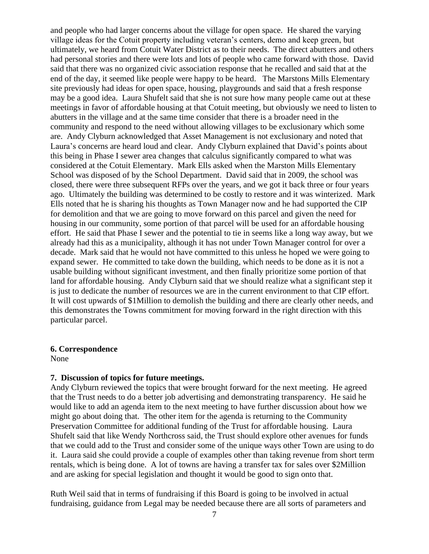and people who had larger concerns about the village for open space. He shared the varying village ideas for the Cotuit property including veteran's centers, demo and keep green, but ultimately, we heard from Cotuit Water District as to their needs. The direct abutters and others had personal stories and there were lots and lots of people who came forward with those. David said that there was no organized civic association response that he recalled and said that at the end of the day, it seemed like people were happy to be heard. The Marstons Mills Elementary site previously had ideas for open space, housing, playgrounds and said that a fresh response may be a good idea. Laura Shufelt said that she is not sure how many people came out at these meetings in favor of affordable housing at that Cotuit meeting, but obviously we need to listen to abutters in the village and at the same time consider that there is a broader need in the community and respond to the need without allowing villages to be exclusionary which some are. Andy Clyburn acknowledged that Asset Management is not exclusionary and noted that Laura's concerns are heard loud and clear. Andy Clyburn explained that David's points about this being in Phase I sewer area changes that calculus significantly compared to what was considered at the Cotuit Elementary. Mark Ells asked when the Marston Mills Elementary School was disposed of by the School Department. David said that in 2009, the school was closed, there were three subsequent RFPs over the years, and we got it back three or four years ago. Ultimately the building was determined to be costly to restore and it was winterized. Mark Ells noted that he is sharing his thoughts as Town Manager now and he had supported the CIP for demolition and that we are going to move forward on this parcel and given the need for housing in our community, some portion of that parcel will be used for an affordable housing effort. He said that Phase I sewer and the potential to tie in seems like a long way away, but we already had this as a municipality, although it has not under Town Manager control for over a decade. Mark said that he would not have committed to this unless he hoped we were going to expand sewer. He committed to take down the building, which needs to be done as it is not a usable building without significant investment, and then finally prioritize some portion of that land for affordable housing. Andy Clyburn said that we should realize what a significant step it is just to dedicate the number of resources we are in the current environment to that CIP effort. It will cost upwards of \$1Million to demolish the building and there are clearly other needs, and this demonstrates the Towns commitment for moving forward in the right direction with this particular parcel.

#### **6. Correspondence**

None

#### **7. Discussion of topics for future meetings.**

Andy Clyburn reviewed the topics that were brought forward for the next meeting. He agreed that the Trust needs to do a better job advertising and demonstrating transparency. He said he would like to add an agenda item to the next meeting to have further discussion about how we might go about doing that. The other item for the agenda is returning to the Community Preservation Committee for additional funding of the Trust for affordable housing. Laura Shufelt said that like Wendy Northcross said, the Trust should explore other avenues for funds that we could add to the Trust and consider some of the unique ways other Town are using to do it. Laura said she could provide a couple of examples other than taking revenue from short term rentals, which is being done. A lot of towns are having a transfer tax for sales over \$2Million and are asking for special legislation and thought it would be good to sign onto that.

Ruth Weil said that in terms of fundraising if this Board is going to be involved in actual fundraising, guidance from Legal may be needed because there are all sorts of parameters and